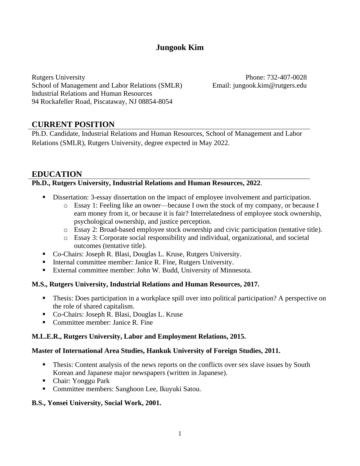# **Jungook Kim**

Rutgers University School of Management and Labor Relations (SMLR) Industrial Relations and Human Resources 94 Rockafeller Road, Piscataway, NJ 08854-8054

Phone: 732-407-0028 Email: jungook.kim@rutgers.edu

## **CURRENT POSITION**

Ph.D. Candidate, Industrial Relations and Human Resources, School of Management and Labor Relations (SMLR), Rutgers University, degree expected in May 2022.

## **EDUCATION**

### **Ph.D., Rutgers University, Industrial Relations and Human Resources, 2022**.

- Dissertation: 3-essay dissertation on the impact of employee involvement and participation.
	- o Essay 1: Feeling like an owner—because I own the stock of my company, or because I earn money from it, or because it is fair? Interrelatedness of employee stock ownership, psychological ownership, and justice perception.
	- o Essay 2: Broad-based employee stock ownership and civic participation (tentative title).
	- o Essay 3: Corporate social responsibility and individual, organizational, and societal outcomes (tentative title).
- Co-Chairs: Joseph R. Blasi, Douglas L. Kruse, Rutgers University.
- Internal committee member: Janice R. Fine, Rutgers University.
- External committee member: John W. Budd, University of Minnesota.

### **M.S., Rutgers University, Industrial Relations and Human Resources, 2017.**

- Thesis: Does participation in a workplace spill over into political participation? A perspective on the role of shared capitalism.
- Co-Chairs: Joseph R. Blasi, Douglas L. Kruse
- Committee member: Janice R. Fine

### **M.L.E.R., Rutgers University, Labor and Employment Relations, 2015.**

#### **Master of International Area Studies, Hankuk University of Foreign Studies, 2011.**

- **Thesis:** Content analysis of the news reports on the conflicts over sex slave issues by South Korean and Japanese major newspapers (written in Japanese).
- Chair: Yonggu Park
- Committee members: Sanghoon Lee, Ikuyuki Satou.

#### **B.S., Yonsei University, Social Work, 2001.**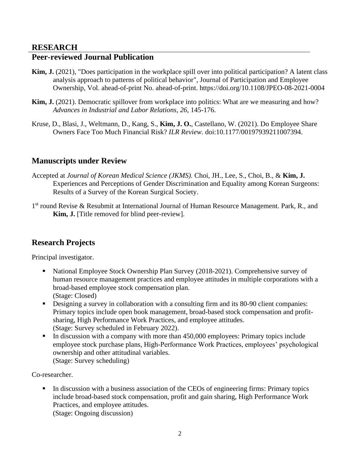### **RESEARCH**

## **Peer-reviewed Journal Publication**

- **Kim, J.** (2021), "Does participation in the workplace spill over into political participation? A latent class analysis approach to patterns of political behavior", Journal of Participation and Employee Ownership, Vol. ahead-of-print No. ahead-of-print. https://doi.org/10.1108/JPEO-08-2021-0004
- **Kim, J.** (2021). Democratic spillover from workplace into politics: What are we measuring and how? *Advances in Industrial and Labor Relations, 26*, 145-176.
- Kruse, D., Blasi, J., Weltmann, D., Kang, S., **Kim, J. O.**, Castellano, W. (2021). Do Employee Share Owners Face Too Much Financial Risk? *ILR Review*. doi:10.1177/00197939211007394.

## **Manuscripts under Review**

- Accepted at *Journal of Korean Medical Science (JKMS).* Choi, JH., Lee, S., Choi, B., & **Kim, J.** Experiences and Perceptions of Gender Discrimination and Equality among Korean Surgeons: Results of a Survey of the Korean Surgical Society.
- 1<sup>st</sup> round Revise & Resubmit at International Journal of Human Resource Management. Park, R., and **Kim, J.** [Title removed for blind peer-review].

## **Research Projects**

Principal investigator.

- National Employee Stock Ownership Plan Survey (2018-2021). Comprehensive survey of human resource management practices and employee attitudes in multiple corporations with a broad-based employee stock compensation plan. (Stage: Closed)
- Designing a survey in collaboration with a consulting firm and its 80-90 client companies: Primary topics include open book management, broad-based stock compensation and profitsharing, High Performance Work Practices, and employee attitudes. (Stage: Survey scheduled in February 2022).
- In discussion with a company with more than 450,000 employees: Primary topics include employee stock purchase plans, High-Performance Work Practices, employees' psychological ownership and other attitudinal variables. (Stage: Survey scheduling)

Co-researcher.

In discussion with a business association of the CEOs of engineering firms: Primary topics include broad-based stock compensation, profit and gain sharing, High Performance Work Practices, and employee attitudes. (Stage: Ongoing discussion)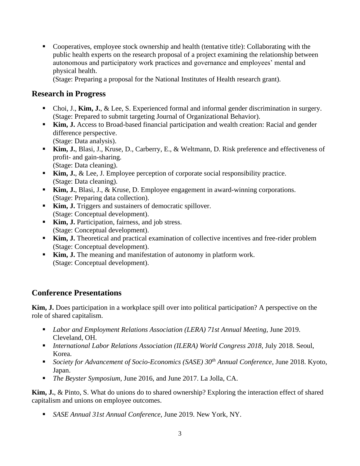▪ Cooperatives, employee stock ownership and health (tentative title): Collaborating with the public health experts on the research proposal of a project examining the relationship between autonomous and participatory work practices and governance and employees' mental and physical health.

(Stage: Preparing a proposal for the National Institutes of Health research grant).

## **Research in Progress**

- Choi, J., **Kim, J.**, & Lee, S. Experienced formal and informal gender discrimination in surgery. (Stage: Prepared to submit targeting Journal of Organizational Behavior).
- **Kim, J.** Access to Broad-based financial participation and wealth creation: Racial and gender difference perspective. (Stage: Data analysis).
- **Kim, J.**, Blasi, J., Kruse, D., Carberry, E., & Weltmann, D. Risk preference and effectiveness of profit- and gain-sharing. (Stage: Data cleaning).
- **Kim, J.**, & Lee, J. Employee perception of corporate social responsibility practice. (Stage: Data cleaning).
- **Kim, J.**, Blasi, J., & Kruse, D. Employee engagement in award-winning corporations. (Stage: Preparing data collection).
- **Kim, J.** Triggers and sustainers of democratic spillover. (Stage: Conceptual development).
- **Kim, J.** Participation, fairness, and job stress. (Stage: Conceptual development).
- **Kim, J.** Theoretical and practical examination of collective incentives and free-rider problem (Stage: Conceptual development).
- **Kim, J.** The meaning and manifestation of autonomy in platform work. (Stage: Conceptual development).

## **Conference Presentations**

**Kim, J.** Does participation in a workplace spill over into political participation? A perspective on the role of shared capitalism.

- *Labor and Employment Relations Association (LERA) 71st Annual Meeting, June 2019.* Cleveland, OH.
- *International Labor Relations Association (ILERA) World Congress 2018, July 2018. Seoul,* Korea.
- *Society for Advancement of Socio-Economics (SASE) 30th Annual Conference,* June 2018. Kyoto, Japan.
- *The Beyster Symposium, June 2016, and June 2017. La Jolla, CA.*

**Kim, J.**, & Pinto, S. What do unions do to shared ownership? Exploring the interaction effect of shared capitalism and unions on employee outcomes.

■ *SASE Annual 31st Annual Conference*, June 2019. New York, NY.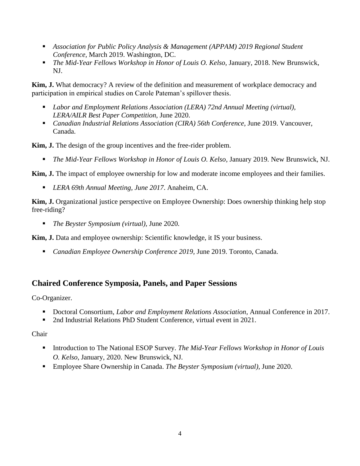- **■** *Association for Public Policy Analysis & Management (APPAM) 2019 Regional Student Conference,* March 2019. Washington, DC.
- *The Mid-Year Fellows Workshop in Honor of Louis O. Kelso, January, 2018. New Brunswick,* NJ.

**Kim, J.** What democracy? A review of the definition and measurement of workplace democracy and participation in empirical studies on Carole Pateman's spillover thesis.

- *Labor and Employment Relations Association (LERA)* 72nd Annual Meeting *(virtual), LERA/AILR Best Paper Competition,* June 2020.
- *Canadian Industrial Relations Association (CIRA) 56th Conference, June 2019. Vancouver,* Canada.

**Kim, J.** The design of the group incentives and the free-rider problem.

▪ *The Mid-Year Fellows Workshop in Honor of Louis O. Kelso,* January 2019. New Brunswick, NJ.

**Kim, J.** The impact of employee ownership for low and moderate income employees and their families.

▪ *LERA 69th Annual Meeting, June 2017*. Anaheim, CA.

**Kim, J.** Organizational justice perspective on Employee Ownership: Does ownership thinking help stop free-riding?

■ *The Beyster Symposium (virtual)*, June 2020.

**Kim, J.** Data and employee ownership: Scientific knowledge, it IS your business.

▪ *Canadian Employee Ownership Conference 2019,* June 2019. Toronto, Canada.

## **Chaired Conference Symposia, Panels, and Paper Sessions**

Co-Organizer.

- Doctoral Consortium, *Labor and Employment Relations Association*, Annual Conference in 2017.
- 2nd Industrial Relations PhD Student Conference, virtual event in 2021.

Chair

- Introduction to The National ESOP Survey. *The Mid-Year Fellows Workshop in Honor of Louis O. Kelso*, January, 2020. New Brunswick, NJ.
- Employee Share Ownership in Canada. *The Beyster Symposium (virtual)*, June 2020.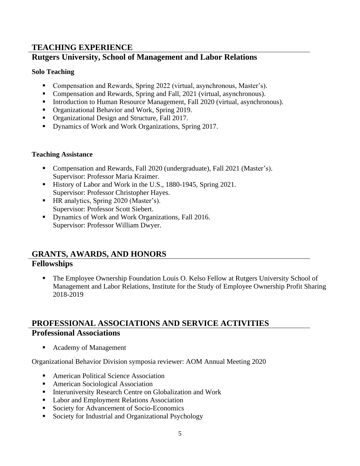## **TEACHING EXPERIENCE**

## **Rutgers University, School of Management and Labor Relations**

### **Solo Teaching**

- Compensation and Rewards, Spring 2022 (virtual, asynchronous, Master's).
- Compensation and Rewards, Spring and Fall, 2021 (virtual, asynchronous).
- **•** Introduction to Human Resource Management, Fall 2020 (virtual, asynchronous).
- Organizational Behavior and Work, Spring 2019.
- Organizational Design and Structure, Fall 2017.
- Dynamics of Work and Work Organizations, Spring 2017.

### **Teaching Assistance**

- Compensation and Rewards, Fall 2020 (undergraduate), Fall 2021 (Master's). Supervisor: Professor Maria Kraimer.
- History of Labor and Work in the U.S., 1880-1945, Spring 2021. Supervisor: Professor Christopher Hayes.
- HR analytics, Spring 2020 (Master's). Supervisor: Professor Scott Siebert.
- Dynamics of Work and Work Organizations, Fall 2016. Supervisor: Professor William Dwyer.

# **GRANTS, AWARDS, AND HONORS Fellowships**

The Employee Ownership Foundation Louis O. Kelso Fellow at Rutgers University School of Management and Labor Relations, Institute for the Study of Employee Ownership Profit Sharing 2018-2019

# **PROFESSIONAL ASSOCIATIONS AND SERVICE ACTIVITIES Professional Associations**

■ Academy of Management

Organizational Behavior Division symposia reviewer: AOM Annual Meeting 2020

- American Political Science Association
- American Sociological Association
- **EXECUTE:** Interuniversity Research Centre on Globalization and Work
- Labor and Employment Relations Association
- Society for Advancement of Socio-Economics
- Society for Industrial and Organizational Psychology